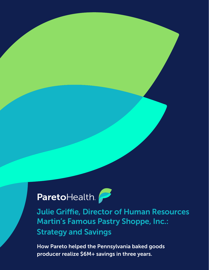## ParetoHealth.

Julie Griffie, Director of Human Resources Martin's Famous Pastry Shoppe, Inc.: Strategy and Savings

How Pareto helped the Pennsylvania baked goods producer realize \$6M+ savings in three years.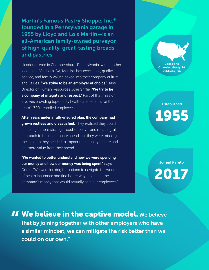Martin's Famous Pastry Shoppe, Inc.® founded in a Pennsylvania garage in 1955 by Lloyd and Lois Martin—is an all-American family-owned purveyor of high-quality, great-tasting breads and pastries.

Headquartered in Chambersburg, Pennsylvania, with another location in Valdosta, GA, Martin's has excellence, quality, service, and family values baked into their company culture and values. **"We strive to be an employer of choice,"** says Director of Human Resources Julie Griffie. **"We try to be a company of integrity and respect."** Part of that mission involves providing top-quality healthcare benefits for the team's 700+ enrolled employees.

**After years under a fully-insured plan, the company had grown restless and dissatisfied.** They realized they could be taking a more strategic, cost-effective, and meaningful approach to their healthcare spend, but they were missing the insights they needed to impact their quality of care and get more value from their spend.

**"We wanted to better understand how we were spending our money and how our money was being spent,"** says Griffie. "We were looking for options to navigate the world of health insurance and find better ways to spend the company's money that would actually help our employees."

Locations Chambersburg, PA Valdosta, GA

## Established 1955

Joined Pareto

2017

II We believe in the captive model. We believe<br>that by joining together with other employers who have<br>a similar mindset, we can mitigate the risk better than we that by joining together with other employers who have a similar mindset, we can mitigate the risk better than we could on our own."